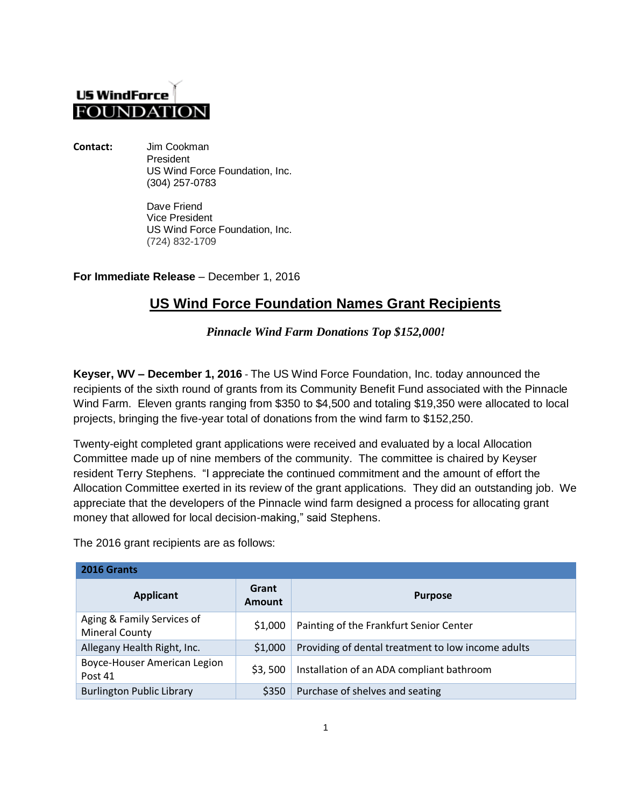## **US WindForce FOUNDATION**

**Contact:** Jim Cookman President US Wind Force Foundation, Inc. (304) 257-0783

> Dave Friend Vice President US Wind Force Foundation, Inc. (724) 832-1709

**For Immediate Release** – December 1, 2016

## **US Wind Force Foundation Names Grant Recipients**

*Pinnacle Wind Farm Donations Top \$152,000!*

**Keyser, WV – December 1, 2016** - The US Wind Force Foundation, Inc. today announced the recipients of the sixth round of grants from its Community Benefit Fund associated with the Pinnacle Wind Farm. Eleven grants ranging from \$350 to \$4,500 and totaling \$19,350 were allocated to local projects, bringing the five-year total of donations from the wind farm to \$152,250.

Twenty-eight completed grant applications were received and evaluated by a local Allocation Committee made up of nine members of the community. The committee is chaired by Keyser resident Terry Stephens. "I appreciate the continued commitment and the amount of effort the Allocation Committee exerted in its review of the grant applications. They did an outstanding job. We appreciate that the developers of the Pinnacle wind farm designed a process for allocating grant money that allowed for local decision-making," said Stephens.

The 2016 grant recipients are as follows:

| 2016 Grants                                         |                        |                                                    |  |
|-----------------------------------------------------|------------------------|----------------------------------------------------|--|
| <b>Applicant</b>                                    | Grant<br><b>Amount</b> | <b>Purpose</b>                                     |  |
| Aging & Family Services of<br><b>Mineral County</b> | \$1,000                | Painting of the Frankfurt Senior Center            |  |
| Allegany Health Right, Inc.                         | \$1,000                | Providing of dental treatment to low income adults |  |
| Boyce-Houser American Legion<br>Post 41             | \$3,500                | Installation of an ADA compliant bathroom          |  |
| <b>Burlington Public Library</b>                    | \$350                  | Purchase of shelves and seating                    |  |